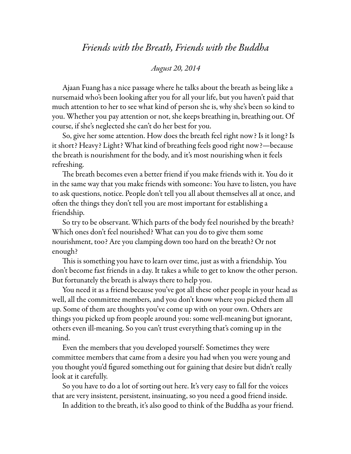## *Friends with the Breath, Friends with the Buddha*

## *August 20, 2014*

Ajaan Fuang has a nice passage where he talks about the breath as being like a nursemaid who's been looking after you for all your life, but you haven't paid that much attention to her to see what kind of person she is, why she's been so kind to you. Whether you pay attention or not, she keeps breathing in, breathing out. Of course, if she's neglected she can't do her best for you.

So, give her some attention. How does the breath feel right now? Is it long? Is it short? Heavy? Light? What kind of breathing feels good right now?—because the breath is nourishment for the body, and it's most nourishing when it feels refreshing.

The breath becomes even a better friend if you make friends with it. You do it in the same way that you make friends with someone: You have to listen, you have to ask questions, notice. People don't tell you all about themselves all at once, and often the things they don't tell you are most important for establishing a friendship.

So try to be observant. Which parts of the body feel nourished by the breath? Which ones don't feel nourished? What can you do to give them some nourishment, too? Are you clamping down too hard on the breath? Or not enough?

This is something you have to learn over time, just as with a friendship. You don't become fast friends in a day. It takes a while to get to know the other person. But fortunately the breath is always there to help you.

You need it as a friend because you've got all these other people in your head as well, all the committee members, and you don't know where you picked them all up. Some of them are thoughts you've come up with on your own. Others are things you picked up from people around you: some well-meaning but ignorant, others even ill-meaning. So you can't trust everything that's coming up in the mind.

Even the members that you developed yourself: Sometimes they were committee members that came from a desire you had when you were young and you thought you'd figured something out for gaining that desire but didn't really look at it carefully.

So you have to do a lot of sorting out here. It's very easy to fall for the voices that are very insistent, persistent, insinuating, so you need a good friend inside.

In addition to the breath, it's also good to think of the Buddha as your friend.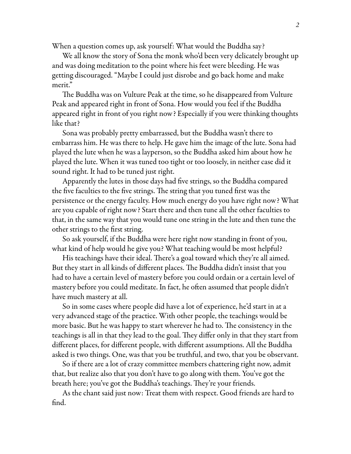When a question comes up, ask yourself: What would the Buddha say?

We all know the story of Sona the monk who'd been very delicately brought up and was doing meditation to the point where his feet were bleeding. He was getting discouraged. "Maybe I could just disrobe and go back home and make merit."

The Buddha was on Vulture Peak at the time, so he disappeared from Vulture Peak and appeared right in front of Sona. How would you feel if the Buddha appeared right in front of you right now? Especially if you were thinking thoughts like that?

Sona was probably pretty embarrassed, but the Buddha wasn't there to embarrass him. He was there to help. He gave him the image of the lute. Sona had played the lute when he was a layperson, so the Buddha asked him about how he played the lute. When it was tuned too tight or too loosely, in neither case did it sound right. It had to be tuned just right.

Apparently the lutes in those days had five strings, so the Buddha compared the five faculties to the five strings. The string that you tuned first was the persistence or the energy faculty. How much energy do you have right now? What are you capable of right now? Start there and then tune all the other faculties to that, in the same way that you would tune one string in the lute and then tune the other strings to the first string.

So ask yourself, if the Buddha were here right now standing in front of you, what kind of help would he give you? What teaching would be most helpful?

His teachings have their ideal. There's a goal toward which they're all aimed. But they start in all kinds of different places. The Buddha didn't insist that you had to have a certain level of mastery before you could ordain or a certain level of mastery before you could meditate. In fact, he often assumed that people didn't have much mastery at all.

So in some cases where people did have a lot of experience, he'd start in at a very advanced stage of the practice. With other people, the teachings would be more basic. But he was happy to start wherever he had to. The consistency in the teachings is all in that they lead to the goal. They differ only in that they start from different places, for different people, with different assumptions. All the Buddha asked is two things. One, was that you be truthful, and two, that you be observant.

So if there are a lot of crazy committee members chattering right now, admit that, but realize also that you don't have to go along with them. You've got the breath here; you've got the Buddha's teachings. They're your friends.

As the chant said just now: Treat them with respect. Good friends are hard to find.